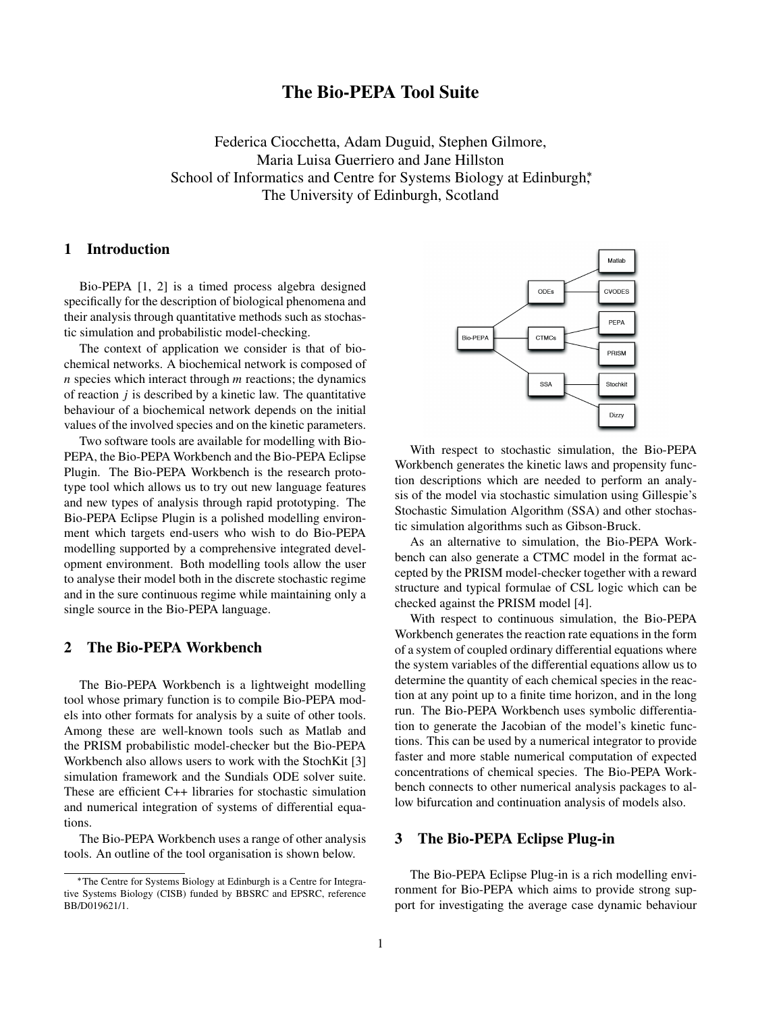# The Bio-PEPA Tool Suite

Federica Ciocchetta, Adam Duguid, Stephen Gilmore, Maria Luisa Guerriero and Jane Hillston School of Informatics and Centre for Systems Biology at Edinburgh<sup>\*</sup>, The University of Edinburgh, Scotland

### 1 Introduction

Bio-PEPA [1, 2] is a timed process algebra designed specifically for the description of biological phenomena and their analysis through quantitative methods such as stochastic simulation and probabilistic model-checking.

The context of application we consider is that of biochemical networks. A biochemical network is composed of *n* species which interact through *m* reactions; the dynamics of reaction *j* is described by a kinetic law. The quantitative behaviour of a biochemical network depends on the initial values of the involved species and on the kinetic parameters.

Two software tools are available for modelling with Bio-PEPA, the Bio-PEPA Workbench and the Bio-PEPA Eclipse Plugin. The Bio-PEPA Workbench is the research prototype tool which allows us to try out new language features and new types of analysis through rapid prototyping. The Bio-PEPA Eclipse Plugin is a polished modelling environment which targets end-users who wish to do Bio-PEPA modelling supported by a comprehensive integrated development environment. Both modelling tools allow the user to analyse their model both in the discrete stochastic regime and in the sure continuous regime while maintaining only a single source in the Bio-PEPA language.

# 2 The Bio-PEPA Workbench

The Bio-PEPA Workbench is a lightweight modelling tool whose primary function is to compile Bio-PEPA models into other formats for analysis by a suite of other tools. Among these are well-known tools such as Matlab and the PRISM probabilistic model-checker but the Bio-PEPA Workbench also allows users to work with the StochKit [3] simulation framework and the Sundials ODE solver suite. These are efficient C++ libraries for stochastic simulation and numerical integration of systems of differential equations.

The Bio-PEPA Workbench uses a range of other analysis tools. An outline of the tool organisation is shown below.



With respect to stochastic simulation, the Bio-PEPA Workbench generates the kinetic laws and propensity function descriptions which are needed to perform an analysis of the model via stochastic simulation using Gillespie's Stochastic Simulation Algorithm (SSA) and other stochastic simulation algorithms such as Gibson-Bruck.

As an alternative to simulation, the Bio-PEPA Workbench can also generate a CTMC model in the format accepted by the PRISM model-checker together with a reward structure and typical formulae of CSL logic which can be checked against the PRISM model [4].

With respect to continuous simulation, the Bio-PEPA Workbench generates the reaction rate equations in the form of a system of coupled ordinary differential equations where the system variables of the differential equations allow us to determine the quantity of each chemical species in the reaction at any point up to a finite time horizon, and in the long run. The Bio-PEPA Workbench uses symbolic differentiation to generate the Jacobian of the model's kinetic functions. This can be used by a numerical integrator to provide faster and more stable numerical computation of expected concentrations of chemical species. The Bio-PEPA Workbench connects to other numerical analysis packages to allow bifurcation and continuation analysis of models also.

#### 3 The Bio-PEPA Eclipse Plug-in

The Bio-PEPA Eclipse Plug-in is a rich modelling environment for Bio-PEPA which aims to provide strong support for investigating the average case dynamic behaviour

<sup>∗</sup>The Centre for Systems Biology at Edinburgh is a Centre for Integrative Systems Biology (CISB) funded by BBSRC and EPSRC, reference BB/D019621/1.